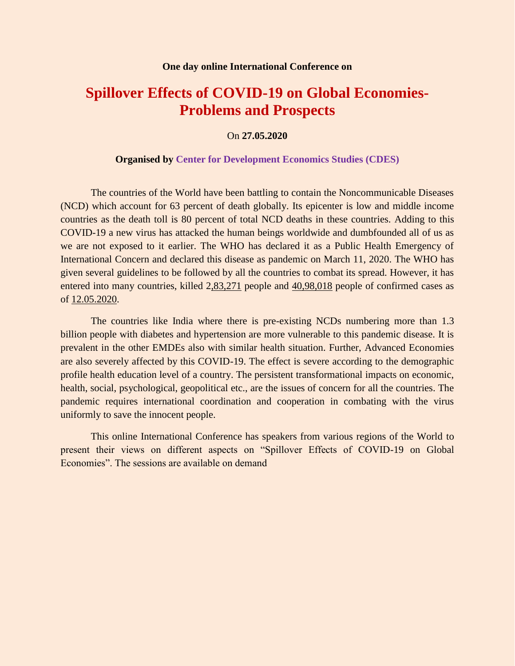## **Spillover Effects of COVID-19 on Global Economies-Problems and Prospects**

On **27.05.2020**

## **Organised by Center for Development Economics Studies (CDES)**

The countries of the World have been battling to contain the Noncommunicable Diseases (NCD) which account for 63 percent of death globally. Its epicenter is low and middle income countries as the death toll is 80 percent of total NCD deaths in these countries. Adding to this COVID-19 a new virus has attacked the human beings worldwide and dumbfounded all of us as we are not exposed to it earlier. The WHO has declared it as a Public Health Emergency of International Concern and declared this disease as pandemic on March 11, 2020. The WHO has given several guidelines to be followed by all the countries to combat its spread. However, it has entered into many countries, killed 2,83,271 people and 40,98,018 people of confirmed cases as of 12.05.2020.

The countries like India where there is pre-existing NCDs numbering more than 1.3 billion people with diabetes and hypertension are more vulnerable to this pandemic disease. It is prevalent in the other EMDEs also with similar health situation. Further, Advanced Economies are also severely affected by this COVID-19. The effect is severe according to the demographic profile health education level of a country. The persistent transformational impacts on economic, health, social, psychological, geopolitical etc., are the issues of concern for all the countries. The pandemic requires international coordination and cooperation in combating with the virus uniformly to save the innocent people.

This online International Conference has speakers from various regions of the World to present their views on different aspects on "Spillover Effects of COVID-19 on Global Economies". The sessions are available on demand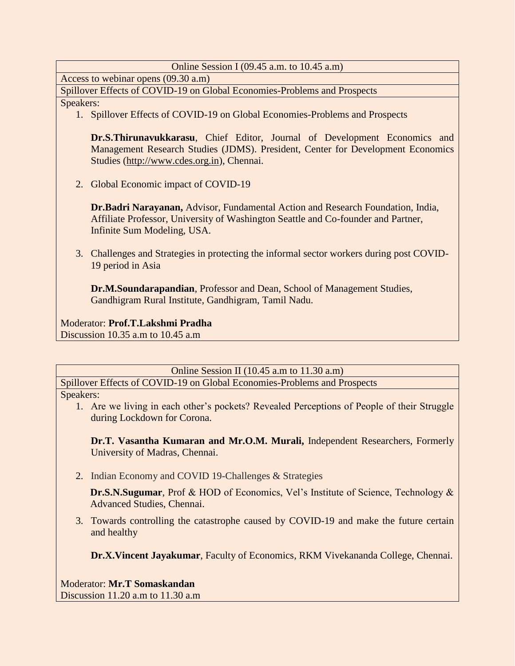| Online Session I (09.45 a.m. to $10.45$ a.m)                                                                   |
|----------------------------------------------------------------------------------------------------------------|
| Access to webinar opens (09.30 a.m)                                                                            |
| Spillover Effects of COVID-19 on Global Economies-Problems and Prospects                                       |
| Speakers:                                                                                                      |
| 1. Spillover Effects of COVID-19 on Global Economies-Problems and Prospects                                    |
|                                                                                                                |
| Dr.S.Thirunavukkarasu, Chief Editor, Journal of Development Economics and                                      |
| Management Research Studies (JDMS). President, Center for Development Economics                                |
| Studies (http://www.cdes.org.in), Chennai.                                                                     |
|                                                                                                                |
| Global Economic impact of COVID-19<br>2.                                                                       |
|                                                                                                                |
| Dr.Badri Narayanan, Advisor, Fundamental Action and Research Foundation, India,                                |
| Affiliate Professor, University of Washington Seattle and Co-founder and Partner,                              |
| Infinite Sum Modeling, USA.                                                                                    |
|                                                                                                                |
| 3. Challenges and Strategies in protecting the informal sector workers during post COVID-<br>19 period in Asia |
|                                                                                                                |
| Dr.M.Soundarapandian, Professor and Dean, School of Management Studies,                                        |
| Gandhigram Rural Institute, Gandhigram, Tamil Nadu.                                                            |
|                                                                                                                |
| Moderator: Prof.T.Lakshmi Pradha                                                                               |
| Discussion 10.35 a.m to 10.45 a.m                                                                              |
|                                                                                                                |
|                                                                                                                |

Online Session II (10.45 a.m to 11.30 a.m) Spillover Effects of COVID-19 on Global Economies-Problems and Prospects

Speakers:

1. Are we living in each other's pockets? Revealed Perceptions of People of their Struggle during Lockdown for Corona.

**Dr.T. Vasantha Kumaran and Mr.O.M. Murali,** Independent Researchers, Formerly University of Madras, Chennai.

2. Indian Economy and COVID 19-Challenges & Strategies

**Dr.S.N.Sugumar**, Prof & HOD of Economics, Vel's Institute of Science, Technology & Advanced Studies, Chennai.

3. Towards controlling the catastrophe caused by COVID-19 and make the future certain and healthy

**Dr.X.Vincent Jayakumar**, Faculty of Economics, RKM Vivekananda College, Chennai.

Moderator: **Mr.T Somaskandan** Discussion 11.20 a.m to 11.30 a.m